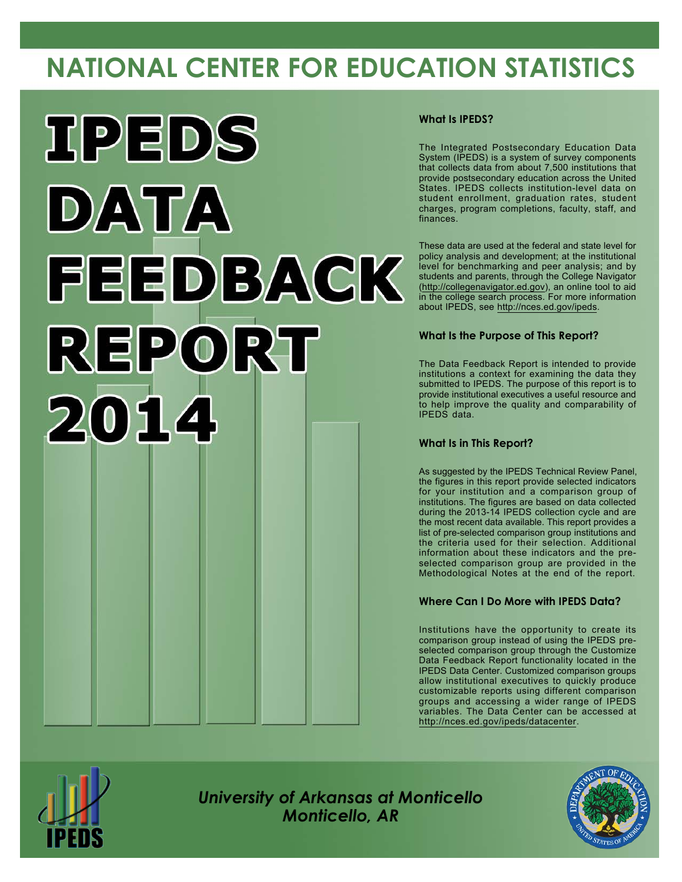# **NATIONAL CENTER FOR EDUCATION STATISTICS**



#### **What Is IPEDS?**

The Integrated Postsecondary Education Data System (IPEDS) is a system of survey components that collects data from about 7,500 institutions that provide postsecondary education across the United States. IPEDS collects institution-level data on student enrollment, graduation rates, student charges, program completions, faculty, staff, and finances.

These data are used at the federal and state level for policy analysis and development; at the institutional level for benchmarking and peer analysis; and by students and parents, through the College Navigator [\(http://collegenavigator.ed.gov](http://collegenavigator.ed.gov)), an online tool to aid in the college search process. For more information about IPEDS, see <http://nces.ed.gov/ipeds>.

#### **What Is the Purpose of This Report?**

The Data Feedback Report is intended to provide institutions a context for examining the data they submitted to IPEDS. The purpose of this report is to provide institutional executives a useful resource and to help improve the quality and comparability of IPEDS data.

#### **What Is in This Report?**

As suggested by the IPEDS Technical Review Panel, the figures in this report provide selected indicators for your institution and a comparison group of institutions. The figures are based on data collected during the 2013-14 IPEDS collection cycle and are the most recent data available. This report provides a list of pre-selected comparison group institutions and the criteria used for their selection. Additional information about these indicators and the preselected comparison group are provided in the Methodological Notes at the end of the report.

#### **Where Can I Do More with IPEDS Data?**

Institutions have the opportunity to create its comparison group instead of using the IPEDS preselected comparison group through the Customize Data Feedback Report functionality located in the IPEDS Data Center. Customized comparison groups allow institutional executives to quickly produce customizable reports using different comparison groups and accessing a wider range of IPEDS variables. The Data Center can be accessed at <http://nces.ed.gov/ipeds/datacenter>.



*University of Arkansas at Monticello Monticello, AR*

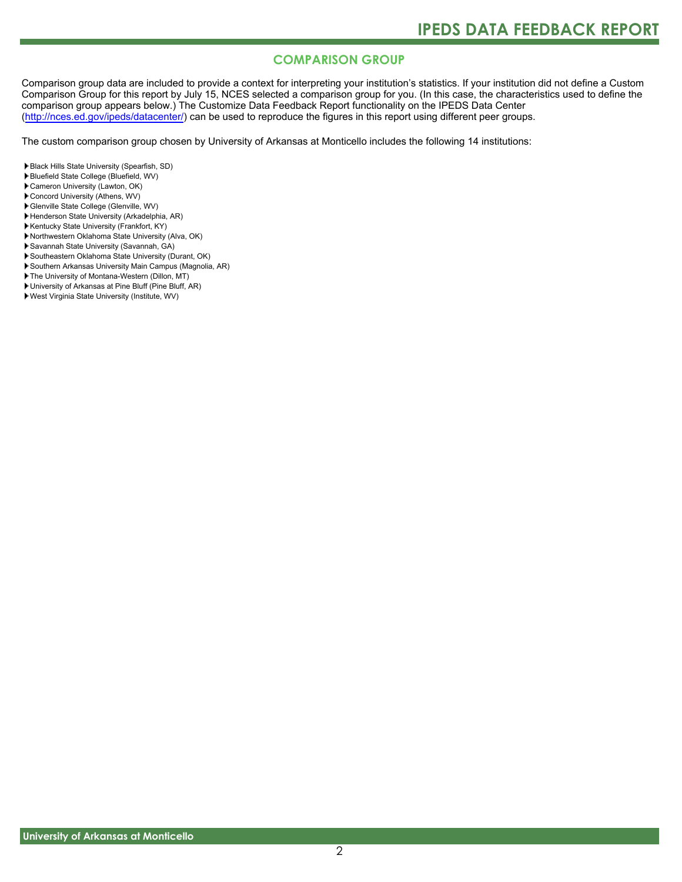### **COMPARISON GROUP**

Comparison group data are included to provide a context for interpreting your institution's statistics. If your institution did not define a Custom Comparison Group for this report by July 15, NCES selected a comparison group for you. (In this case, the characteristics used to define the comparison group appears below.) The Customize Data Feedback Report functionality on the IPEDS Data Center [\(http://nces.ed.gov/ipeds/datacenter/\)](http://nces.ed.gov/ipeds/datacenter/) can be used to reproduce the figures in this report using different peer groups.

The custom comparison group chosen by University of Arkansas at Monticello includes the following 14 institutions:

- Black Hills State University (Spearfish, SD)
- Bluefield State College (Bluefield, WV)
- Cameron University (Lawton, OK)
- Concord University (Athens, WV)
- Glenville State College (Glenville, WV)
- Henderson State University (Arkadelphia, AR)
- Kentucky State University (Frankfort, KY)
- Northwestern Oklahoma State University (Alva, OK)
- Savannah State University (Savannah, GA)
- Southeastern Oklahoma State University (Durant, OK)
- Southern Arkansas University Main Campus (Magnolia, AR)
- The University of Montana-Western (Dillon, MT)
- University of Arkansas at Pine Bluff (Pine Bluff, AR)
- West Virginia State University (Institute, WV)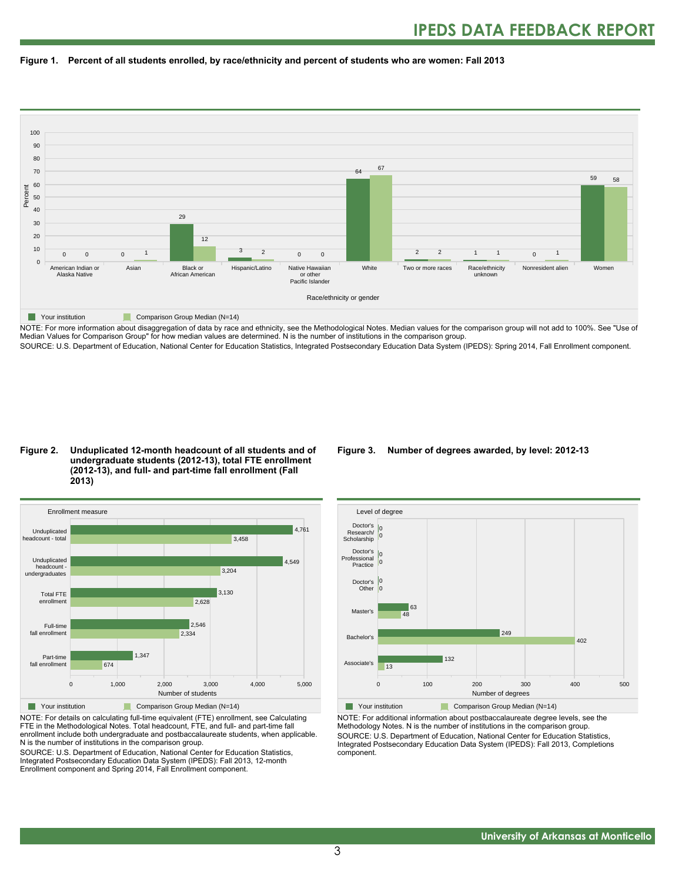



NOTE: For more information about disaggregation of data by race and ethnicity, see the Methodological Notes. Median values for the comparison group will not add to 100%. See "Use of Median Values for Comparison Group" for how median values are determined. N is the number of institutions in the comparison group. SOURCE: U.S. Department of Education, National Center for Education Statistics, Integrated Postsecondary Education Data System (IPEDS): Spring 2014, Fall Enrollment component.

#### **Figure 2. Unduplicated 12-month headcount of all students and of undergraduate students (2012-13), total FTE enrollment (2012-13), and full- and part-time fall enrollment (Fall 2013)**



NOTE: For details on calculating full-time equivalent (FTE) enrollment, see Calculating FTE in the Methodological Notes. Total headcount, FTE, and full- and part-time fall enrollment include both undergraduate and postbaccalaureate students, when applicable. N is the number of institutions in the comparison group.

SOURCE: U.S. Department of Education, National Center for Education Statistics, Integrated Postsecondary Education Data System (IPEDS): Fall 2013, 12-month Enrollment component and Spring 2014, Fall Enrollment component.

#### **Figure 3. Number of degrees awarded, by level: 2012-13**



NOTE: For additional information about postbaccalaureate degree levels, see the Methodology Notes. N is the number of institutions in the comparison group. SOURCE: U.S. Department of Education, National Center for Education Statistics, Integrated Postsecondary Education Data System (IPEDS): Fall 2013, Completions component.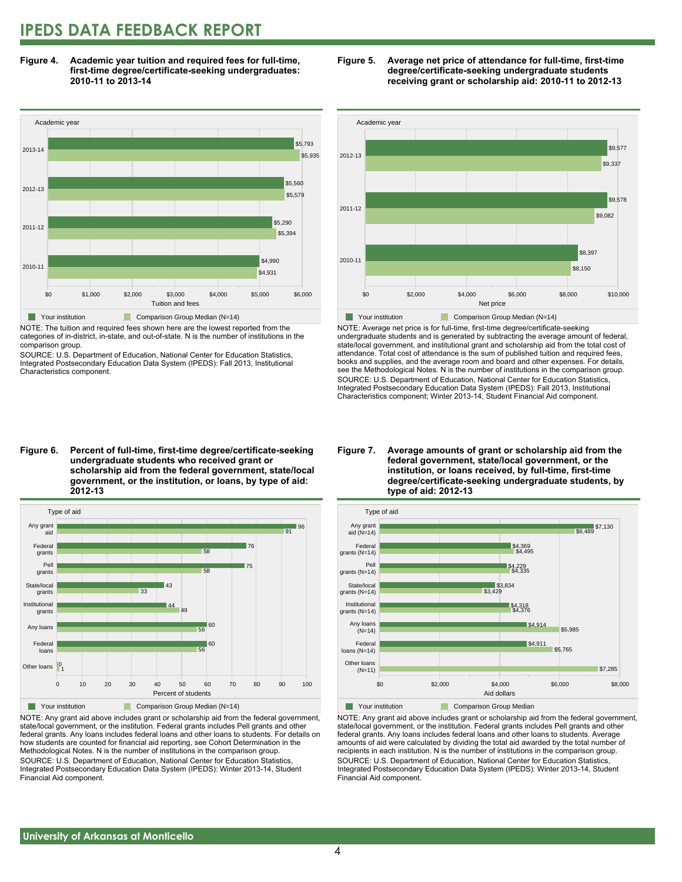### **IPEDS DATA FEEDBACK REPORT**

**Figure 4. Academic year tuition and required fees for full-time, first-time degree/certificate-seeking undergraduates: 2010-11 to 2013-14**



NOTE: The tuition and required fees shown here are the lowest reported from the categories of in-district, in-state, and out-of-state. N is the number of institutions in the comparison group.

SOURCE: U.S. Department of Education, National Center for Education Statistics, Integrated Postsecondary Education Data System (IPEDS): Fall 2013, Institutional Characteristics component.





NOTE: Average net price is for full-time, first-time degree/certificate-seeking undergraduate students and is generated by subtracting the average amount of federal, state/local government, and institutional grant and scholarship aid from the total cost of attendance. Total cost of attendance is the sum of published tuition and required fees, books and supplies, and the average room and board and other expenses. For details, see the Methodological Notes. N is the number of institutions in the comparison group. SOURCE: U.S. Department of Education, National Center for Education Statistics, Integrated Postsecondary Education Data System (IPEDS): Fall 2013, Institutional Characteristics component; Winter 2013-14, Student Financial Aid component.

**Figure 6. Percent of full-time, first-time degree/certificate-seeking undergraduate students who received grant or scholarship aid from the federal government, state/local government, or the institution, or loans, by type of aid: 2012-13**



NOTE: Any grant aid above includes grant or scholarship aid from the federal government, state/local government, or the institution. Federal grants includes Pell grants and other federal grants. Any loans includes federal loans and other loans to students. For details on how students are counted for financial aid reporting, see Cohort Determination in the Methodological Notes. N is the number of institutions in the comparison group. SOURCE: U.S. Department of Education, National Center for Education Statistics, Integrated Postsecondary Education Data System (IPEDS): Winter 2013-14, Student Financial Aid component.

#### **Figure 7. Average amounts of grant or scholarship aid from the federal government, state/local government, or the institution, or loans received, by full-time, first-time degree/certificate-seeking undergraduate students, by type of aid: 2012-13**



NOTE: Any grant aid above includes grant or scholarship aid from the federal government, state/local government, or the institution. Federal grants includes Pell grants and other federal grants. Any loans includes federal loans and other loans to students. Average amounts of aid were calculated by dividing the total aid awarded by the total number of recipients in each institution. N is the number of institutions in the comparison group. SOURCE: U.S. Department of Education, National Center for Education Statistics, Integrated Postsecondary Education Data System (IPEDS): Winter 2013-14, Student Financial Aid component.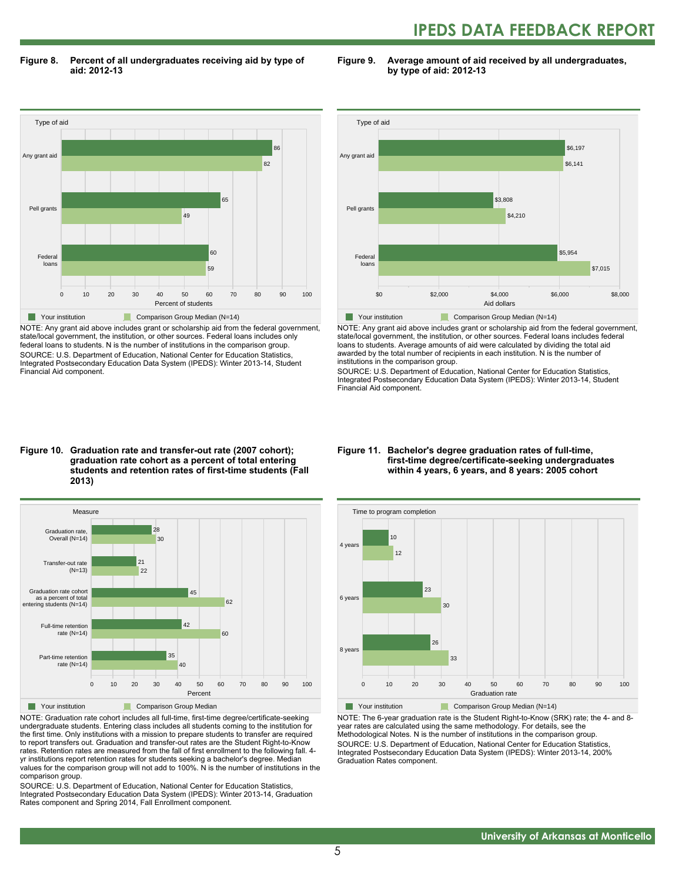## **IPEDS DATA FEEDBACK REPORT**

**Figure 8. Percent of all undergraduates receiving aid by type of aid: 2012-13**

**Figure 9. Average amount of aid received by all undergraduates, by type of aid: 2012-13**



NOTE: Any grant aid above includes grant or scholarship aid from the federal government, state/local government, the institution, or other sources. Federal loans includes only federal loans to students. N is the number of institutions in the comparison group. SOURCE: U.S. Department of Education, National Center for Education Statistics, Integrated Postsecondary Education Data System (IPEDS): Winter 2013-14, Student Financial Aid component.



NOTE: Any grant aid above includes grant or scholarship aid from the federal government, state/local government, the institution, or other sources. Federal loans includes federal loans to students. Average amounts of aid were calculated by dividing the total aid awarded by the total number of recipients in each institution. N is the number of institutions in the comparison group.

SOURCE: U.S. Department of Education, National Center for Education Statistics, Integrated Postsecondary Education Data System (IPEDS): Winter 2013-14, Student Financial Aid component.

#### **Figure 10. Graduation rate and transfer-out rate (2007 cohort); graduation rate cohort as a percent of total entering students and retention rates of first-time students (Fall 2013)**



NOTE: Graduation rate cohort includes all full-time, first-time degree/certificate-seeking undergraduate students. Entering class includes all students coming to the institution for the first time. Only institutions with a mission to prepare students to transfer are required to report transfers out. Graduation and transfer-out rates are the Student Right-to-Know rates. Retention rates are measured from the fall of first enrollment to the following fall. 4 yr institutions report retention rates for students seeking a bachelor's degree. Median values for the comparison group will not add to 100%. N is the number of institutions in the comparison group.

SOURCE: U.S. Department of Education, National Center for Education Statistics, Integrated Postsecondary Education Data System (IPEDS): Winter 2013-14, Graduation Rates component and Spring 2014, Fall Enrollment component.

#### **Figure 11. Bachelor's degree graduation rates of full-time, first-time degree/certificate-seeking undergraduates within 4 years, 6 years, and 8 years: 2005 cohort**



NOTE: The 6-year graduation rate is the Student Right-to-Know (SRK) rate; the 4- and 8 year rates are calculated using the same methodology. For details, see the Methodological Notes. N is the number of institutions in the comparison group. SOURCE: U.S. Department of Education, National Center for Education Statistics, Integrated Postsecondary Education Data System (IPEDS): Winter 2013-14, 200% Graduation Rates component.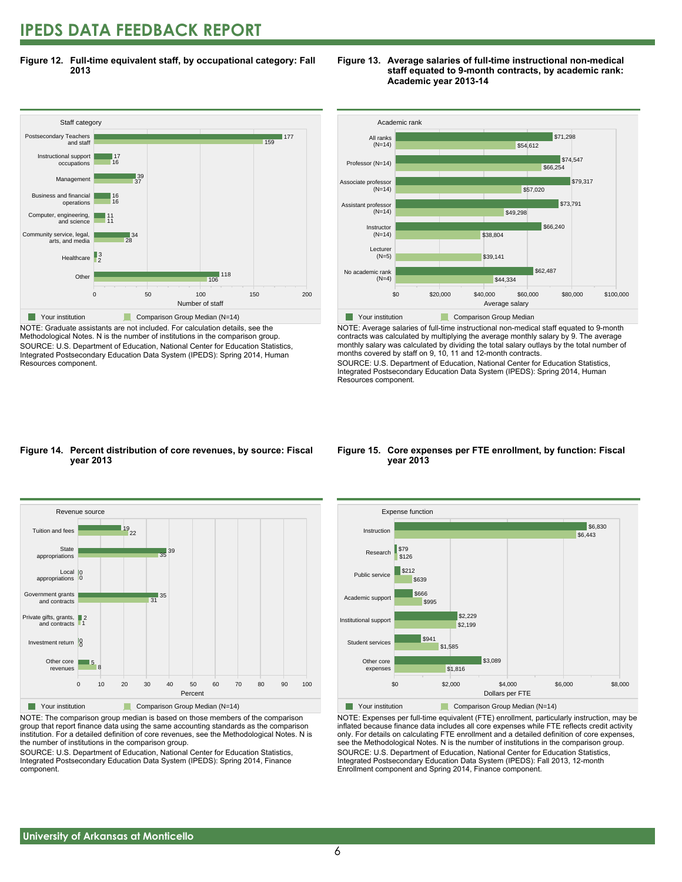### **IPEDS DATA FEEDBACK REPORT**

**Figure 12. Full-time equivalent staff, by occupational category: Fall 2013**



NOTE: Graduate assistants are not included. For calculation details, see the Methodological Notes. N is the number of institutions in the comparison group. SOURCE: U.S. Department of Education, National Center for Education Statistics, Integrated Postsecondary Education Data System (IPEDS): Spring 2014, Human Resources component.





NOTE: Average salaries of full-time instructional non-medical staff equated to 9-month contracts was calculated by multiplying the average monthly salary by 9. The average monthly salary was calculated by dividing the total salary outlays by the total number of months covered by staff on 9, 10, 11 and 12-month contracts.

SOURCE: U.S. Department of Education, National Center for Education Statistics, Integrated Postsecondary Education Data System (IPEDS): Spring 2014, Human Resources component.

#### **Figure 14. Percent distribution of core revenues, by source: Fiscal year 2013**



NOTE: The comparison group median is based on those members of the comparison group that report finance data using the same accounting standards as the comparison institution. For a detailed definition of core revenues, see the Methodological Notes. N is the number of institutions in the comparison group.

SOURCE: U.S. Department of Education, National Center for Education Statistics, Integrated Postsecondary Education Data System (IPEDS): Spring 2014, Finance component.

#### **Figure 15. Core expenses per FTE enrollment, by function: Fiscal year 2013**



NOTE: Expenses per full-time equivalent (FTE) enrollment, particularly instruction, may be inflated because finance data includes all core expenses while FTE reflects credit activity only. For details on calculating FTE enrollment and a detailed definition of core expenses, see the Methodological Notes. N is the number of institutions in the comparison group. SOURCE: U.S. Department of Education, National Center for Education Statistics, Integrated Postsecondary Education Data System (IPEDS): Fall 2013, 12-month Enrollment component and Spring 2014, Finance component.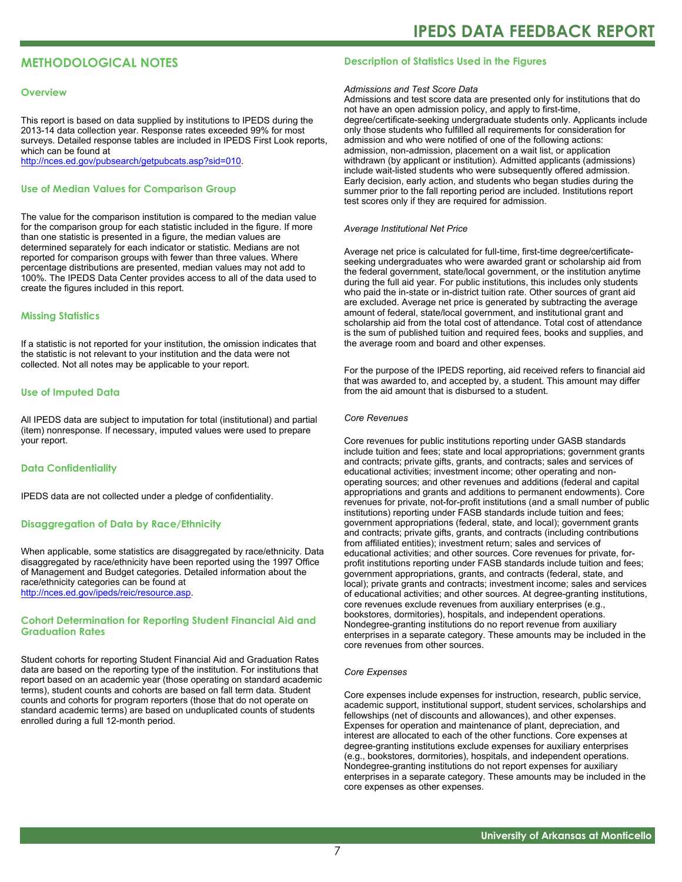#### **METHODOLOGICAL NOTES**

#### **Overview**

This report is based on data supplied by institutions to IPEDS during the 2013-14 data collection year. Response rates exceeded 99% for most surveys. Detailed response tables are included in IPEDS First Look reports, which can be found at [http://nces.ed.gov/pubsearch/getpubcats.asp?sid=010.](http://nces.ed.gov/pubsearch/getpubcats.asp?sid=010)

#### **Use of Median Values for Comparison Group**

The value for the comparison institution is compared to the median value for the comparison group for each statistic included in the figure. If more than one statistic is presented in a figure, the median values are determined separately for each indicator or statistic. Medians are not reported for comparison groups with fewer than three values. Where percentage distributions are presented, median values may not add to 100%. The IPEDS Data Center provides access to all of the data used to create the figures included in this report.

#### **Missing Statistics**

If a statistic is not reported for your institution, the omission indicates that the statistic is not relevant to your institution and the data were not collected. Not all notes may be applicable to your report.

#### **Use of Imputed Data**

All IPEDS data are subject to imputation for total (institutional) and partial (item) nonresponse. If necessary, imputed values were used to prepare your report.

#### **Data Confidentiality**

IPEDS data are not collected under a pledge of confidentiality.

#### **Disaggregation of Data by Race/Ethnicity**

When applicable, some statistics are disaggregated by race/ethnicity. Data disaggregated by race/ethnicity have been reported using the 1997 Office of Management and Budget categories. Detailed information about the race/ethnicity categories can be found at <http://nces.ed.gov/ipeds/reic/resource.asp>.

#### **Cohort Determination for Reporting Student Financial Aid and Graduation Rates**

Student cohorts for reporting Student Financial Aid and Graduation Rates data are based on the reporting type of the institution. For institutions that report based on an academic year (those operating on standard academic terms), student counts and cohorts are based on fall term data. Student counts and cohorts for program reporters (those that do not operate on standard academic terms) are based on unduplicated counts of students enrolled during a full 12-month period.

#### **Description of Statistics Used in the Figures**

#### *Admissions and Test Score Data*

Admissions and test score data are presented only for institutions that do not have an open admission policy, and apply to first-time, degree/certificate-seeking undergraduate students only. Applicants include only those students who fulfilled all requirements for consideration for admission and who were notified of one of the following actions: admission, non-admission, placement on a wait list, or application withdrawn (by applicant or institution). Admitted applicants (admissions) include wait-listed students who were subsequently offered admission. Early decision, early action, and students who began studies during the summer prior to the fall reporting period are included. Institutions report test scores only if they are required for admission.

#### *Average Institutional Net Price*

Average net price is calculated for full-time, first-time degree/certificateseeking undergraduates who were awarded grant or scholarship aid from the federal government, state/local government, or the institution anytime during the full aid year. For public institutions, this includes only students who paid the in-state or in-district tuition rate. Other sources of grant aid are excluded. Average net price is generated by subtracting the average amount of federal, state/local government, and institutional grant and scholarship aid from the total cost of attendance. Total cost of attendance is the sum of published tuition and required fees, books and supplies, and the average room and board and other expenses.

For the purpose of the IPEDS reporting, aid received refers to financial aid that was awarded to, and accepted by, a student. This amount may differ from the aid amount that is disbursed to a student.

#### *Core Revenues*

Core revenues for public institutions reporting under GASB standards include tuition and fees; state and local appropriations; government grants and contracts; private gifts, grants, and contracts; sales and services of educational activities; investment income; other operating and nonoperating sources; and other revenues and additions (federal and capital appropriations and grants and additions to permanent endowments). Core revenues for private, not-for-profit institutions (and a small number of public institutions) reporting under FASB standards include tuition and fees; government appropriations (federal, state, and local); government grants and contracts; private gifts, grants, and contracts (including contributions from affiliated entities); investment return; sales and services of educational activities; and other sources. Core revenues for private, forprofit institutions reporting under FASB standards include tuition and fees; government appropriations, grants, and contracts (federal, state, and local); private grants and contracts; investment income; sales and services of educational activities; and other sources. At degree-granting institutions, core revenues exclude revenues from auxiliary enterprises (e.g., bookstores, dormitories), hospitals, and independent operations. Nondegree-granting institutions do no report revenue from auxiliary enterprises in a separate category. These amounts may be included in the core revenues from other sources.

#### *Core Expenses*

Core expenses include expenses for instruction, research, public service, academic support, institutional support, student services, scholarships and fellowships (net of discounts and allowances), and other expenses. Expenses for operation and maintenance of plant, depreciation, and interest are allocated to each of the other functions. Core expenses at degree-granting institutions exclude expenses for auxiliary enterprises (e.g., bookstores, dormitories), hospitals, and independent operations. Nondegree-granting institutions do not report expenses for auxiliary enterprises in a separate category. These amounts may be included in the core expenses as other expenses.